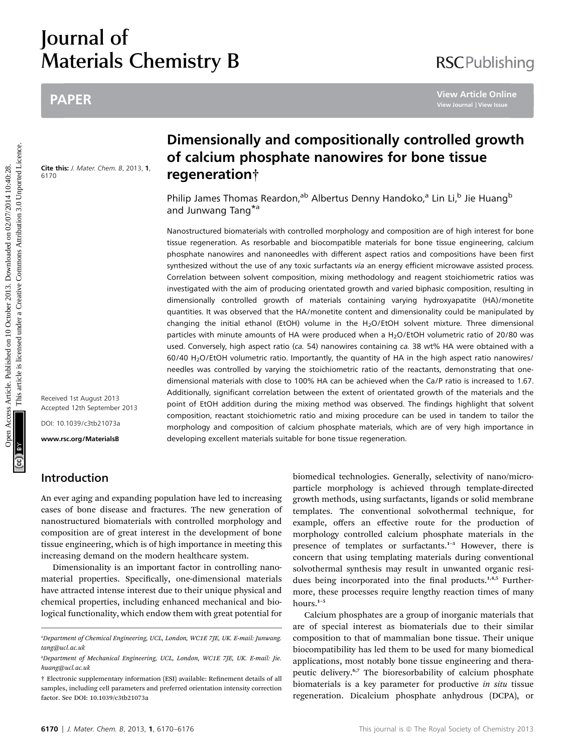# Journal of Materials Chemistry B

# PAPER

Cite this: J. Mater. Chem. B, 2013, 1, 6170

#### Received 1st August 2013 Accepted 12th September 2013

DOI: 10.1039/c3tb21073a

www.rsc.org/MaterialsB

# Introduction

An ever aging and expanding population have led to increasing cases of bone disease and fractures. The new generation of nanostructured biomaterials with controlled morphology and composition are of great interest in the development of bone tissue engineering, which is of high importance in meeting this increasing demand on the modern healthcare system.

Dimensionality is an important factor in controlling nanomaterial properties. Specifically, one-dimensional materials have attracted intense interest due to their unique physical and chemical properties, including enhanced mechanical and biological functionality, which endow them with great potential for

# Dimensionally and compositionally controlled growth of calcium phosphate nanowires for bone tissue regeneration†

Philip James Thomas Reardon,<sup>ab</sup> Albertus Denny Handoko,<sup>a</sup> Lin Li,<sup>b</sup> Jie Huang<sup>b</sup> and Junwang Tang\*<sup>a</sup>

Nanostructured biomaterials with controlled morphology and composition are of high interest for bone tissue regeneration. As resorbable and biocompatible materials for bone tissue engineering, calcium phosphate nanowires and nanoneedles with different aspect ratios and compositions have been first synthesized without the use of any toxic surfactants via an energy efficient microwave assisted process. Correlation between solvent composition, mixing methodology and reagent stoichiometric ratios was investigated with the aim of producing orientated growth and varied biphasic composition, resulting in dimensionally controlled growth of materials containing varying hydroxyapatite (HA)/monetite quantities. It was observed that the HA/monetite content and dimensionality could be manipulated by changing the initial ethanol (EtOH) volume in the H<sub>2</sub>O/EtOH solvent mixture. Three dimensional particles with minute amounts of HA were produced when a H<sub>2</sub>O/EtOH volumetric ratio of 20/80 was used. Conversely, high aspect ratio (ca. 54) nanowires containing ca. 38 wt% HA were obtained with a 60/40 H2O/EtOH volumetric ratio. Importantly, the quantity of HA in the high aspect ratio nanowires/ needles was controlled by varying the stoichiometric ratio of the reactants, demonstrating that onedimensional materials with close to 100% HA can be achieved when the Ca/P ratio is increased to 1.67. Additionally, significant correlation between the extent of orientated growth of the materials and the point of EtOH addition during the mixing method was observed. The findings highlight that solvent composition, reactant stoichiometric ratio and mixing procedure can be used in tandem to tailor the morphology and composition of calcium phosphate materials, which are of very high importance in developing excellent materials suitable for bone tissue regeneration. PAPER<br>
Dimensionally and compositionally controlled growt<br>
of calcium phosphate nanowires for bone tissue<br>
of calcium phosphate nanowires for bone tissue<br>
regeneration in<br>
Philip James Thomas Reardon,<sup>as</sup> Albertus Denny H

> biomedical technologies. Generally, selectivity of nano/microparticle morphology is achieved through template-directed growth methods, using surfactants, ligands or solid membrane templates. The conventional solvothermal technique, for example, offers an effective route for the production of morphology controlled calcium phosphate materials in the presence of templates or surfactants.<sup>1</sup>–<sup>3</sup> However, there is concern that using templating materials during conventional solvothermal synthesis may result in unwanted organic residues being incorporated into the final products.<sup>1,4,5</sup> Furthermore, these processes require lengthy reaction times of many hours.<sup>1</sup>–<sup>5</sup>

> Calcium phosphates are a group of inorganic materials that are of special interest as biomaterials due to their similar composition to that of mammalian bone tissue. Their unique biocompatibility has led them to be used for many biomedical applications, most notably bone tissue engineering and therapeutic delivery.<sup>6,7</sup> The bioresorbability of calcium phosphate biomaterials is a key parameter for productive *in situ* tissue regeneration. Dicalcium phosphate anhydrous (DCPA), or

# **RSCPublishing**

a Department of Chemical Engineering, UCL, London, WC1E 7JE, UK. E-mail: Junwang. tang@ucl.ac.uk

b Department of Mechanical Engineering, UCL, London, WC1E 7JE, UK. E-mail: Jie. huang@ucl.ac.uk

<sup>†</sup> Electronic supplementary information (ESI) available: Renement details of all samples, including cell parameters and preferred orientation intensity correction factor. See DOI: 10.1039/c3tb21073a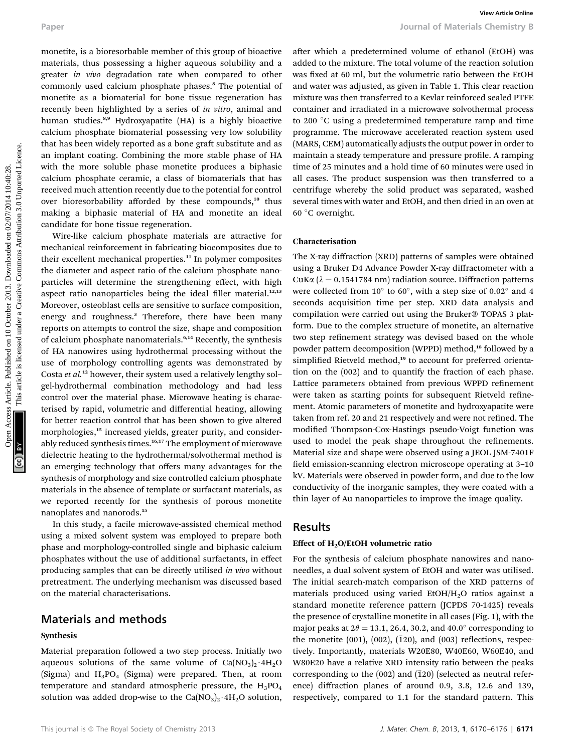monetite, is a bioresorbable member of this group of bioactive materials, thus possessing a higher aqueous solubility and a greater in vivo degradation rate when compared to other commonly used calcium phosphate phases.<sup>8</sup> The potential of monetite as a biomaterial for bone tissue regeneration has recently been highlighted by a series of in vitro, animal and human studies.<sup>8,9</sup> Hydroxyapatite (HA) is a highly bioactive calcium phosphate biomaterial possessing very low solubility that has been widely reported as a bone graft substitute and as an implant coating. Combining the more stable phase of HA with the more soluble phase monetite produces a biphasic calcium phosphate ceramic, a class of biomaterials that has received much attention recently due to the potential for control over bioresorbability afforded by these compounds,<sup>10</sup> thus making a biphasic material of HA and monetite an ideal candidate for bone tissue regeneration.

Wire-like calcium phosphate materials are attractive for mechanical reinforcement in fabricating biocomposites due to their excellent mechanical properties.<sup>11</sup> In polymer composites the diameter and aspect ratio of the calcium phosphate nanoparticles will determine the strengthening effect, with high aspect ratio nanoparticles being the ideal filler material. $12,13$ Moreover, osteoblast cells are sensitive to surface composition, energy and roughness.<sup>3</sup> Therefore, there have been many reports on attempts to control the size, shape and composition of calcium phosphate nanomaterials.<sup>6,14</sup> Recently, the synthesis of HA nanowires using hydrothermal processing without the use of morphology controlling agents was demonstrated by Costa et al.<sup>12</sup> however, their system used a relatively lengthy solgel-hydrothermal combination methodology and had less control over the material phase. Microwave heating is characterised by rapid, volumetric and differential heating, allowing for better reaction control that has been shown to give altered morphologies,<sup>15</sup> increased yields, greater purity, and considerably reduced synthesis times.<sup>16,17</sup> The employment of microwave dielectric heating to the hydrothermal/solvothermal method is an emerging technology that offers many advantages for the synthesis of morphology and size controlled calcium phosphate materials in the absence of template or surfactant materials, as we reported recently for the synthesis of porous monetite nanoplates and nanorods.<sup>15</sup> Puper<br>
monetaic, is a biotescolonic monitor of this group of biomiese and the media on the media on 10 october 2013. Downloaded the article is a considered under the media on the media on the media on the media on 10 octob

In this study, a facile microwave-assisted chemical method using a mixed solvent system was employed to prepare both phase and morphology-controlled single and biphasic calcium phosphates without the use of additional surfactants, in effect producing samples that can be directly utilised in vivo without pretreatment. The underlying mechanism was discussed based on the material characterisations.

### Materials and methods

#### Synthesis

Material preparation followed a two step process. Initially two aqueous solutions of the same volume of  $Ca(NO<sub>3</sub>)<sub>2</sub>·4H<sub>2</sub>O$ (Sigma) and  $H_3PO_4$  (Sigma) were prepared. Then, at room temperature and standard atmospheric pressure, the  $H_3PO_4$ solution was added drop-wise to the  $Ca(NO<sub>3</sub>)<sub>2</sub>·4H<sub>2</sub>O$  solution,

after which a predetermined volume of ethanol (EtOH) was added to the mixture. The total volume of the reaction solution was fixed at 60 ml, but the volumetric ratio between the EtOH and water was adjusted, as given in Table 1. This clear reaction mixture was then transferred to a Kevlar reinforced sealed PTFE container and irradiated in a microwave solvothermal process to 200 °C using a predetermined temperature ramp and time programme. The microwave accelerated reaction system used (MARS, CEM) automatically adjusts the output power in order to maintain a steady temperature and pressure profile. A ramping time of 25 minutes and a hold time of 60 minutes were used in all cases. The product suspension was then transferred to a centrifuge whereby the solid product was separated, washed several times with water and EtOH, and then dried in an oven at 60 C overnight.

#### Characterisation

The X-ray diffraction (XRD) patterns of samples were obtained using a Bruker D4 Advance Powder X-ray diffractometer with a CuK $\alpha$  ( $\lambda = 0.1541784$  nm) radiation source. Diffraction patterns were collected from  $10^{\circ}$  to  $60^{\circ}$ , with a step size of 0.02° and 4 seconds acquisition time per step. XRD data analysis and compilation were carried out using the Bruker® TOPAS 3 platform. Due to the complex structure of monetite, an alternative two step refinement strategy was devised based on the whole powder pattern decomposition (WPPD) method,<sup>18</sup> followed by a simplified Rietveld method,<sup>19</sup> to account for preferred orientation on the (002) and to quantify the fraction of each phase. Lattice parameters obtained from previous WPPD refinement were taken as starting points for subsequent Rietveld refinement. Atomic parameters of monetite and hydroxyapatite were taken from ref. 20 and 21 respectively and were not refined. The modified Thompson-Cox-Hastings pseudo-Voigt function was used to model the peak shape throughout the refinements. Material size and shape were observed using a JEOL JSM-7401F field emission-scanning electron microscope operating at 3-10 kV. Materials were observed in powder form, and due to the low conductivity of the inorganic samples, they were coated with a thin layer of Au nanoparticles to improve the image quality.

### Results

#### Effect of  $H<sub>2</sub>O/E$ tOH volumetric ratio

For the synthesis of calcium phosphate nanowires and nanoneedles, a dual solvent system of EtOH and water was utilised. The initial search-match comparison of the XRD patterns of materials produced using varied  $EtOH/H<sub>2</sub>O$  ratios against a standard monetite reference pattern (JCPDS 70-1425) reveals the presence of crystalline monetite in all cases (Fig. 1), with the major peaks at  $2\theta = 13.1$ , 26.4, 30.2, and 40.0° corresponding to the monetite  $(001)$ ,  $(002)$ ,  $(120)$ , and  $(003)$  reflections, respectively. Importantly, materials W20E80, W40E60, W60E40, and W80E20 have a relative XRD intensity ratio between the peaks corresponding to the  $(002)$  and  $(120)$  (selected as neutral reference) diffraction planes of around 0.9, 3.8, 12.6 and 139, respectively, compared to 1.1 for the standard pattern. This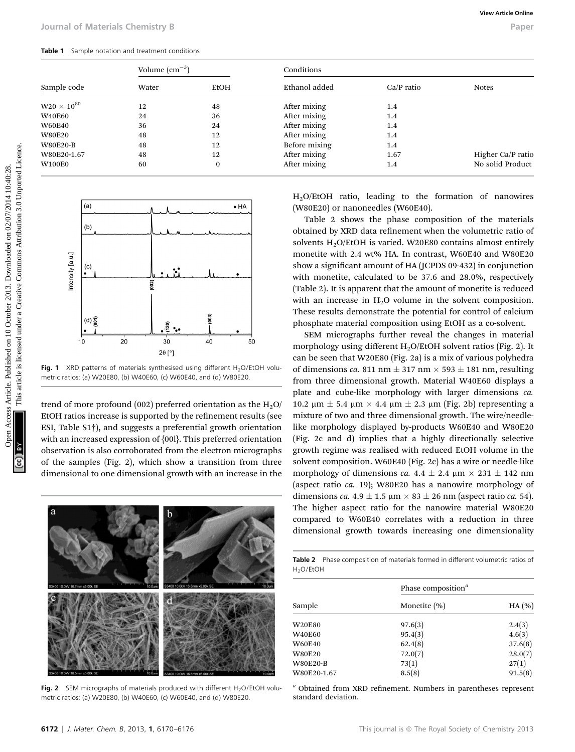Table 1 Sample notation and treatment conditions

|                              |                            | Volume $\rm (cm^{-3})$   |                | Conditions                   |                                                                                                                                                                                                                                                                                                                                      |                                       |  |  |
|------------------------------|----------------------------|--------------------------|----------------|------------------------------|--------------------------------------------------------------------------------------------------------------------------------------------------------------------------------------------------------------------------------------------------------------------------------------------------------------------------------------|---------------------------------------|--|--|
| Sample code                  |                            | Water                    | <b>EtOH</b>    | Ethanol added                | $Ca/P$ ratio                                                                                                                                                                                                                                                                                                                         | <b>Notes</b>                          |  |  |
| $\text{W20}\times 10^{80}$   |                            | 12                       | 48             | After mixing                 | 1.4                                                                                                                                                                                                                                                                                                                                  |                                       |  |  |
| <b>W40E60</b>                |                            | 24                       | 36             | After mixing                 | 1.4                                                                                                                                                                                                                                                                                                                                  |                                       |  |  |
| <b>W60E40</b>                |                            | 36                       | 24             | After mixing                 | 1.4                                                                                                                                                                                                                                                                                                                                  |                                       |  |  |
| <b>W80E20</b>                |                            | 48                       | 12             | After mixing                 | 1.4                                                                                                                                                                                                                                                                                                                                  |                                       |  |  |
| <b>W80E20-B</b>              |                            | 48                       | 12             | Before mixing                | 1.4                                                                                                                                                                                                                                                                                                                                  |                                       |  |  |
| W80E20-1.67<br><b>W100E0</b> |                            | 48<br>60                 | 12<br>$\bf{0}$ | After mixing<br>After mixing | 1.67<br>1.4                                                                                                                                                                                                                                                                                                                          | Higher Ca/P ratio<br>No solid Product |  |  |
| Intensity [a.u.]             | $\left( $                  | (002)                    | (003)          |                              | show a significant amount of HA (JCPDS 09-432) in conjunction<br>with monetite, calculated to be 37.6 and 28.0%, respectively<br>(Table 2). It is apparent that the amount of monetite is reduced<br>with an increase in $H_2O$ volume in the solvent composition.<br>These results demonstrate the potential for control of calcium |                                       |  |  |
|                              | $(d)$ $\overline{g}$<br>10 | .៖ •<br>20<br>30         | 40<br>50       |                              | phosphate material composition using EtOH as a co-solvent.<br>SEM micrographs further reveal the changes in material                                                                                                                                                                                                                 |                                       |  |  |
|                              |                            |                          |                |                              | morphology using different H <sub>2</sub> O/EtOH solvent ratios (Fig. 2). It<br>can be seen that W20E80 (Fig. 2a) is a mix of various polyhedra                                                                                                                                                                                      |                                       |  |  |
|                              |                            | $2\theta$ [ $^{\circ}$ ] |                |                              |                                                                                                                                                                                                                                                                                                                                      |                                       |  |  |



Fig. 1 XRD patterns of materials synthesised using different  $H_2O/EtOH$  volumetric ratios: (a) W20E80, (b) W40E60, (c) W60E40, and (d) W80E20.

trend of more profound (002) preferred orientation as the  $H_2O$ / EtOH ratios increase is supported by the refinement results (see ESI, Table S1†), and suggests a preferential growth orientation with an increased expression of {00l}. This preferred orientation observation is also corroborated from the electron micrographs of the samples (Fig. 2), which show a transition from three dimensional to one dimensional growth with an increase in the



Fig. 2 SEM micrographs of materials produced with different  $H_2O/EtOH$  volumetric ratios: (a) W20E80, (b) W40E60, (c) W60E40, and (d) W80E20.

SEM micrographs further reveal the changes in material morphology using different  $H_2O/E$ tOH solvent ratios (Fig. 2). It can be seen that W20E80 (Fig. 2a) is a mix of various polyhedra of dimensions ca. 811 nm  $\pm$  317 nm  $\times$  593  $\pm$  181 nm, resulting from three dimensional growth. Material W40E60 displays a plate and cube-like morphology with larger dimensions ca. 10.2 μm  $\pm$  5.4 μm  $\times$  4.4 μm  $\pm$  2.3 μm (Fig. 2b) representing a mixture of two and three dimensional growth. The wire/needlelike morphology displayed by-products W60E40 and W80E20 (Fig. 2c and d) implies that a highly directionally selective growth regime was realised with reduced EtOH volume in the solvent composition. W60E40 (Fig. 2c) has a wire or needle-like morphology of dimensions ca. 4.4  $\pm$  2.4 µm  $\times$  231  $\pm$  142 nm (aspect ratio ca. 19); W80E20 has a nanowire morphology of dimensions ca. 4.9  $\pm$  1.5  $\mu$ m  $\times$  83  $\pm$  26 nm (aspect ratio ca. 54). The higher aspect ratio for the nanowire material W80E20 compared to W60E40 correlates with a reduction in three dimensional growth towards increasing one dimensionality

Table 2 Phase composition of materials formed in different volumetric ratios of H2O/EtOH

|                 | Phase composition <sup><math>a</math></sup> |          |
|-----------------|---------------------------------------------|----------|
| Sample          | Monetite $(\% )$                            | HA $(%)$ |
| <b>W20E80</b>   | 97.6(3)                                     | 2.4(3)   |
| <b>W40E60</b>   | 95.4(3)                                     | 4.6(3)   |
| <b>W60E40</b>   | 62.4(8)                                     | 37.6(8)  |
| <b>W80E20</b>   | 72.0(7)                                     | 28.0(7)  |
| <b>W80E20-B</b> | 73(1)                                       | 27(1)    |
| W80E20-1.67     | 8.5(8)                                      | 91.5(8)  |

 $a$  Obtained from XRD refinement. Numbers in parentheses represent standard deviation.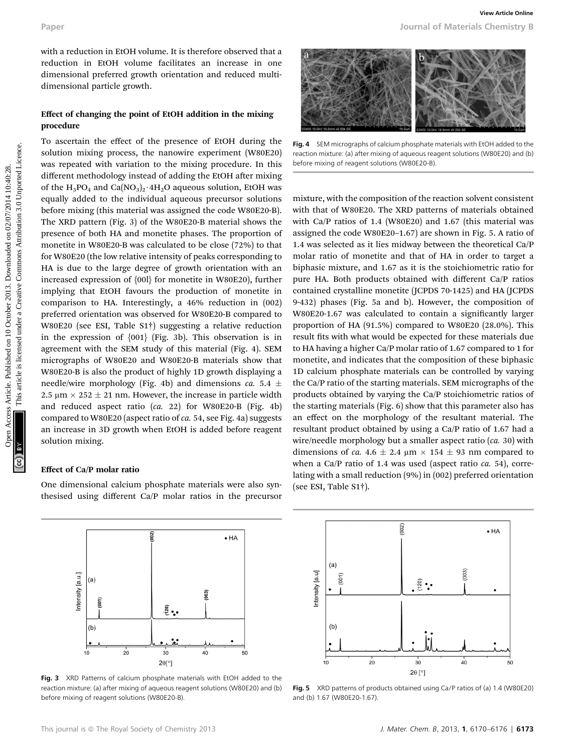with a reduction in EtOH volume. It is therefore observed that a reduction in EtOH volume facilitates an increase in one dimensional preferred growth orientation and reduced multidimensional particle growth.

#### Effect of changing the point of EtOH addition in the mixing procedure

To ascertain the effect of the presence of EtOH during the solution mixing process, the nanowire experiment (W80E20) was repeated with variation to the mixing procedure. In this different methodology instead of adding the EtOH after mixing of the  $H_3PO_4$  and  $Ca(NO_3)_2 \cdot 4H_2O$  aqueous solution, EtOH was equally added to the individual aqueous precursor solutions before mixing (this material was assigned the code W80E20-B). The XRD pattern (Fig. 3) of the W80E20-B material shows the presence of both HA and monetite phases. The proportion of monetite in W80E20-B was calculated to be close (72%) to that for W80E20 (the low relative intensity of peaks corresponding to HA is due to the large degree of growth orientation with an increased expression of {00l} for monetite in W80E20), further implying that EtOH favours the production of monetite in comparison to HA. Interestingly, a 46% reduction in (002) preferred orientation was observed for W80E20-B compared to W80E20 (see ESI, Table S1†) suggesting a relative reduction in the expression of {001} (Fig. 3b). This observation is in agreement with the SEM study of this material (Fig. 4). SEM micrographs of W80E20 and W80E20-B materials show that W80E20-B is also the product of highly 1D growth displaying a needle/wire morphology (Fig. 4b) and dimensions ca. 5.4  $\pm$ 2.5  $\mu$ m  $\times$  252  $\pm$  21 nm. However, the increase in particle width and reduced aspect ratio (ca. 22) for W80E20-B (Fig. 4b) compared to W80E20 (aspect ratio of ca. 54, see Fig. 4a) suggests an increase in 3D growth when EtOH is added before reagent solution mixing. Paper<br>
Nota a celebration in FoOH whole fieldless are increase in our case in our case of the paper and increase are in the common and increase are in the common and increase are the common and increase Article is license

#### Effect of Ca/P molar ratio

One dimensional calcium phosphate materials were also synthesised using different Ca/P molar ratios in the precursor



Fig. 3 XRD Patterns of calcium phosphate materials with EtOH added to the reaction mixture: (a) after mixing of aqueous reagent solutions (W80E20) and (b) before mixing of reagent solutions (W80E20-B).

Fig. 4 SEM micrographs of calcium phosphate materials with EtOH added to the reaction mixture: (a) after mixing of aqueous reagent solutions (W80E20) and (b) before mixing of reagent solutions (W80E20-B).

mixture, with the composition of the reaction solvent consistent with that of W80E20. The XRD patterns of materials obtained with Ca/P ratios of 1.4 (W80E20) and 1.67 (this material was assigned the code W80E20–1.67) are shown in Fig. 5. A ratio of 1.4 was selected as it lies midway between the theoretical Ca/P molar ratio of monetite and that of HA in order to target a biphasic mixture, and 1.67 as it is the stoichiometric ratio for pure HA. Both products obtained with different Ca/P ratios contained crystalline monetite (JCPDS 70-1425) and HA (JCPDS 9-432) phases (Fig. 5a and b). However, the composition of W80E20-1.67 was calculated to contain a significantly larger proportion of HA (91.5%) compared to W80E20 (28.0%). This result fits with what would be expected for these materials due to HA having a higher Ca/P molar ratio of 1.67 compared to 1 for monetite, and indicates that the composition of these biphasic 1D calcium phosphate materials can be controlled by varying the Ca/P ratio of the starting materials. SEM micrographs of the products obtained by varying the Ca/P stoichiometric ratios of the starting materials (Fig. 6) show that this parameter also has an effect on the morphology of the resultant material. The resultant product obtained by using a Ca/P ratio of 1.67 had a wire/needle morphology but a smaller aspect ratio (ca. 30) with dimensions of ca. 4.6  $\pm$  2.4 µm  $\times$  154  $\pm$  93 nm compared to when a Ca/P ratio of 1.4 was used (aspect ratio  $ca. 54$ ), correlating with a small reduction (9%) in (002) preferred orientation (see ESI, Table S1†).



Fig. 5 XRD patterns of products obtained using Ca/P ratios of (a) 1.4 (W80E20) and (b) 1.67 (W80E20-1.67).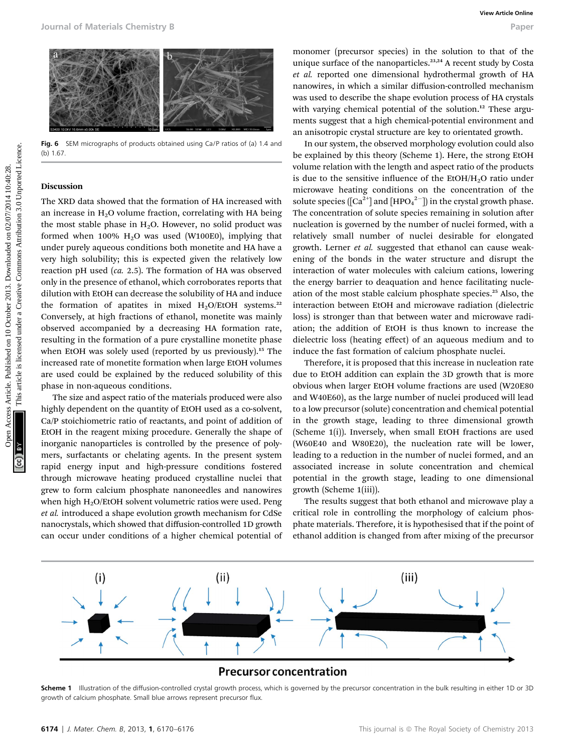

Fig. 6 SEM micrographs of products obtained using Ca/P ratios of (a) 1.4 and  $(h) 1.67$ 

#### Discussion

The XRD data showed that the formation of HA increased with an increase in  $H<sub>2</sub>O$  volume fraction, correlating with HA being the most stable phase in  $H_2O$ . However, no solid product was formed when 100%  $H<sub>2</sub>O$  was used (W100E0), implying that under purely aqueous conditions both monetite and HA have a very high solubility; this is expected given the relatively low reaction pH used (ca. 2.5). The formation of HA was observed only in the presence of ethanol, which corroborates reports that dilution with EtOH can decrease the solubility of HA and induce the formation of apatites in mixed  $H_2O/E$ tOH systems.<sup>22</sup> Conversely, at high fractions of ethanol, monetite was mainly observed accompanied by a decreasing HA formation rate, resulting in the formation of a pure crystalline monetite phase when EtOH was solely used (reported by us previously).<sup>15</sup> The increased rate of monetite formation when large EtOH volumes are used could be explained by the reduced solubility of this phase in non-aqueous conditions.

The size and aspect ratio of the materials produced were also highly dependent on the quantity of EtOH used as a co-solvent, Ca/P stoichiometric ratio of reactants, and point of addition of EtOH in the reagent mixing procedure. Generally the shape of inorganic nanoparticles is controlled by the presence of polymers, surfactants or chelating agents. In the present system rapid energy input and high-pressure conditions fostered through microwave heating produced crystalline nuclei that grew to form calcium phosphate nanoneedles and nanowires when high  $H<sub>2</sub>O/EtOH$  solvent volumetric ratios were used. Peng et al. introduced a shape evolution growth mechanism for CdSe nanocrystals, which showed that diffusion-controlled 1D growth can occur under conditions of a higher chemical potential of

monomer (precursor species) in the solution to that of the unique surface of the nanoparticles.<sup>23,24</sup> A recent study by Costa et al. reported one dimensional hydrothermal growth of HA nanowires, in which a similar diffusion-controlled mechanism was used to describe the shape evolution process of HA crystals with varying chemical potential of the solution.<sup>12</sup> These arguments suggest that a high chemical-potential environment and an anisotropic crystal structure are key to orientated growth.

In our system, the observed morphology evolution could also be explained by this theory (Scheme 1). Here, the strong EtOH volume relation with the length and aspect ratio of the products is due to the sensitive influence of the EtOH/H<sub>2</sub>O ratio under microwave heating conditions on the concentration of the solute species  $\left(\left[\mathrm{Ca}^{2+}\right]$  and  $\left[\mathrm{HPO}^{-2-}_{4}\right]$  in the crystal growth phase. The concentration of solute species remaining in solution after nucleation is governed by the number of nuclei formed, with a relatively small number of nuclei desirable for elongated growth. Lerner et al. suggested that ethanol can cause weakening of the bonds in the water structure and disrupt the interaction of water molecules with calcium cations, lowering the energy barrier to deaquation and hence facilitating nucleation of the most stable calcium phosphate species.<sup>25</sup> Also, the interaction between EtOH and microwave radiation (dielectric loss) is stronger than that between water and microwave radiation; the addition of EtOH is thus known to increase the dielectric loss (heating effect) of an aqueous medium and to induce the fast formation of calcium phosphate nuclei. Open The Compact of Materials Chemistry 8<br>
Compact from the compact from the access Article is the compact of the access Article is license and the common access Creative Commons Article is license and the common access C

Therefore, it is proposed that this increase in nucleation rate due to EtOH addition can explain the 3D growth that is more obvious when larger EtOH volume fractions are used (W20E80 and W40E60), as the large number of nuclei produced will lead to a low precursor (solute) concentration and chemical potential in the growth stage, leading to three dimensional growth (Scheme 1(i)). Inversely, when small EtOH fractions are used (W60E40 and W80E20), the nucleation rate will be lower, leading to a reduction in the number of nuclei formed, and an associated increase in solute concentration and chemical potential in the growth stage, leading to one dimensional growth (Scheme 1(iii)).

The results suggest that both ethanol and microwave play a critical role in controlling the morphology of calcium phosphate materials. Therefore, it is hypothesised that if the point of ethanol addition is changed from after mixing of the precursor



### **Precursor concentration**

Scheme 1 Illustration of the diffusion-controlled crystal growth process, which is governed by the precursor concentration in the bulk resulting in either 1D or 3D growth of calcium phosphate. Small blue arrows represent precursor flux.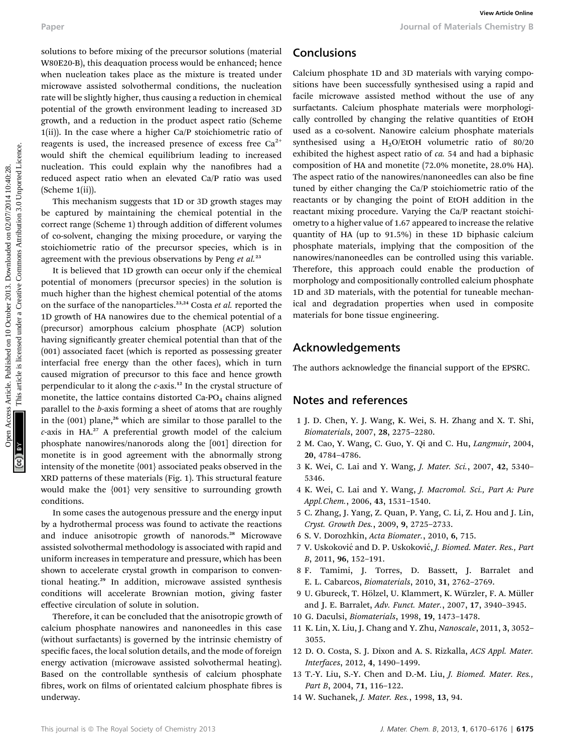solutions to before mixing of the precursor solutions (material W80E20-B), this deaquation process would be enhanced; hence when nucleation takes place as the mixture is treated under microwave assisted solvothermal conditions, the nucleation rate will be slightly higher, thus causing a reduction in chemical potential of the growth environment leading to increased 3D growth, and a reduction in the product aspect ratio (Scheme 1(ii)). In the case where a higher Ca/P stoichiometric ratio of reagents is used, the increased presence of excess free  $Ca<sup>2+</sup>$ would shift the chemical equilibrium leading to increased nucleation. This could explain why the nanofibres had a reduced aspect ratio when an elevated Ca/P ratio was used (Scheme 1(ii)).

This mechanism suggests that 1D or 3D growth stages may be captured by maintaining the chemical potential in the correct range (Scheme 1) through addition of different volumes of co-solvent, changing the mixing procedure, or varying the stoichiometric ratio of the precursor species, which is in agreement with the previous observations by Peng et  $al$ <sup>23</sup>

It is believed that 1D growth can occur only if the chemical potential of monomers (precursor species) in the solution is much higher than the highest chemical potential of the atoms on the surface of the nanoparticles.<sup>23,24</sup> Costa et al. reported the 1D growth of HA nanowires due to the chemical potential of a (precursor) amorphous calcium phosphate (ACP) solution having significantly greater chemical potential than that of the (001) associated facet (which is reported as possessing greater interfacial free energy than the other faces), which in turn caused migration of precursor to this face and hence growth perpendicular to it along the  $c$ -axis.<sup>12</sup> In the crystal structure of monetite, the lattice contains distorted  $Ca-PO<sub>4</sub>$  chains aligned parallel to the b-axis forming a sheet of atoms that are roughly in the  $(001)$  plane,<sup>26</sup> which are similar to those parallel to the c-axis in HA.<sup>27</sup> A preferential growth model of the calcium phosphate nanowires/nanorods along the [001] direction for monetite is in good agreement with the abnormally strong intensity of the monetite {001} associated peaks observed in the XRD patterns of these materials (Fig. 1). This structural feature would make the {001} very sensitive to surrounding growth conditions.

In some cases the autogenous pressure and the energy input by a hydrothermal process was found to activate the reactions and induce anisotropic growth of nanorods.<sup>28</sup> Microwave assisted solvothermal methodology is associated with rapid and uniform increases in temperature and pressure, which has been shown to accelerate crystal growth in comparison to conventional heating.<sup>29</sup> In addition, microwave assisted synthesis conditions will accelerate Brownian motion, giving faster effective circulation of solute in solution.

Therefore, it can be concluded that the anisotropic growth of calcium phosphate nanowires and nanoneedles in this case (without surfactants) is governed by the intrinsic chemistry of specific faces, the local solution details, and the mode of foreign energy activation (microwave assisted solvothermal heating). Based on the controllable synthesis of calcium phosphate fibres, work on films of orientated calcium phosphate fibres is underway.

# Conclusions

Calcium phosphate 1D and 3D materials with varying compositions have been successfully synthesised using a rapid and facile microwave assisted method without the use of any surfactants. Calcium phosphate materials were morphologically controlled by changing the relative quantities of EtOH used as a co-solvent. Nanowire calcium phosphate materials synthesised using a  $H<sub>2</sub>O/EtOH$  volumetric ratio of 80/20 exhibited the highest aspect ratio of ca. 54 and had a biphasic composition of HA and monetite (72.0% monetite, 28.0% HA). The aspect ratio of the nanowires/nanoneedles can also be fine tuned by either changing the Ca/P stoichiometric ratio of the reactants or by changing the point of EtOH addition in the reactant mixing procedure. Varying the Ca/P reactant stoichiometry to a higher value of 1.67 appeared to increase the relative quantity of HA (up to 91.5%) in these 1D biphasic calcium phosphate materials, implying that the composition of the nanowires/nanoneedles can be controlled using this variable. Therefore, this approach could enable the production of morphology and compositionally controlled calcium phosphate 1D and 3D materials, with the potential for tuneable mechanical and degradation properties when used in composite materials for bone tissue engineering. Paper<br>
Solutions to better mining of the presenter solutions (material **Conclusions** Conclusions<br>
WorkPab), the design to presented in embedded in elements here conclusions are measured to the minimister and the minimister

# Acknowledgements

The authors acknowledge the financial support of the EPSRC.

# Notes and references

- 1 J. D. Chen, Y. J. Wang, K. Wei, S. H. Zhang and X. T. Shi, Biomaterials, 2007, 28, 2275–2280.
- 2 M. Cao, Y. Wang, C. Guo, Y. Qi and C. Hu, Langmuir, 2004, 20, 4784–4786.
- 3 K. Wei, C. Lai and Y. Wang, J. Mater. Sci., 2007, 42, 5340– 5346.
- 4 K. Wei, C. Lai and Y. Wang, J. Macromol. Sci., Part A: Pure Appl.Chem., 2006, 43, 1531–1540.
- 5 C. Zhang, J. Yang, Z. Quan, P. Yang, C. Li, Z. Hou and J. Lin, Cryst. Growth Des., 2009, 9, 2725–2733.
- 6 S. V. Dorozhkin, Acta Biomater., 2010, 6, 715.
- 7 V. Uskoković and D. P. Uskoković, J. Biomed. Mater. Res., Part B, 2011, 96, 152–191.
- 8 F. Tamimi, J. Torres, D. Bassett, J. Barralet and E. L. Cabarcos, Biomaterials, 2010, 31, 2762–2769.
- 9 U. Gbureck, T. Hölzel, U. Klammert, K. Würzler, F. A. Müller and J. E. Barralet, Adv. Funct. Mater., 2007, 17, 3940–3945.
- 10 G. Daculsi, Biomaterials, 1998, 19, 1473–1478.
- 11 K. Lin, X. Liu, J. Chang and Y. Zhu, Nanoscale, 2011, 3, 3052– 3055.
- 12 D. O. Costa, S. J. Dixon and A. S. Rizkalla, ACS Appl. Mater. Interfaces, 2012, 4, 1490–1499.
- 13 T.-Y. Liu, S.-Y. Chen and D.-M. Liu, J. Biomed. Mater. Res., Part B, 2004, 71, 116-122.
- 14 W. Suchanek, J. Mater. Res., 1998, 13, 94.